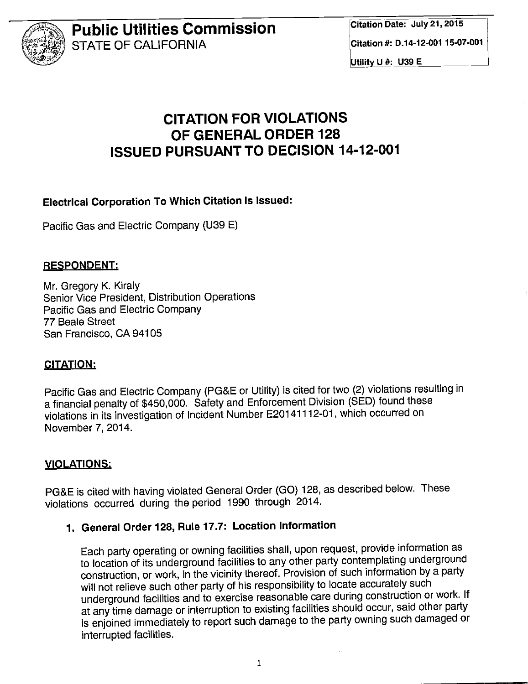

Utility U #: U39 E

# CITATION FOR VIOLATIONS OF GENERAL ORDER 128 ISSUED PURSUANT TO DECISION 14-12-001

Electrical Corporation To Which Citation Is Issued:

Pacific Gas and Electric Company (U39 E)

#### RESPONDENT:

Mr. Gregory K. Kiraly Senior Vice President, Distribution Operations Pacific Gas and Electric Company 77 Beaie Street San Francisco, CA 94105

#### CITATION:

Pacific Gas and Electric Company (PG&E or Utility) is cited for two (2) violations resulting in a financial penalty of \$450,000. Safety and Enforcement Division (SED) found these violations in its investigation of Incident Number E20141112-01, which occurred on November 7, 2014.

#### VIOLATIONS:

PG&E is cited with having violated General Order (GO) 128, as described below. These violations occurred during the period 1990 through 2014.

# 1. General Order 128, Rule 17.7: Location Information

Each party operating or owning facilities shall, upon request, provide information as to location of its underground facilities to any other party contemplating underground construction, or work, in the vicinity thereof. Provision of such information by a party will not relieve such other party of his responsibility to locate accurately such underground facilities and to exercise reasonable care during construction or work. If at any time damage or interruption to existing facilities should occur, said other party is enjoined immediately to report such damage to the party owning such damaged or interrupted facilities.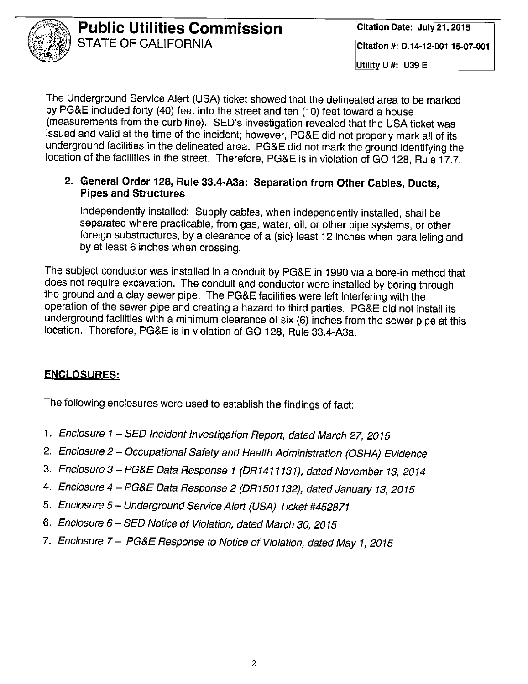

Utility U #: U39 E

The Underground Service Alert (USA) ticket showed that the delineated area to be marked by PG&E included forty (40) feet into the street and ten (10) feet toward a house (measurements from the curb line). SED's investigation revealed that the USA ticket was issued and valid at the time of the incident; however, PG&E did not properly mark all of its underground facilities in the delineated area. PG&E did not mark the ground identifying the location of the facilities in the street. Therefore, PG&E is in violation of GO 128, Rule 17.7.

#### 2. General Order 128, Rule 33.4-A3a: Separation from Other Cables, Ducts, **Pipes and Structures**

Independently installed: Supply cables, when independently installed, shall be separated where practicable, from gas, water, oil, or other pipe systems, or other foreign substructures, by a clearance of a (sic) least 12 inches when paralleling and by at least 6 inches when crossing.

The subject conductor was installed in a conduit by PG&E in 1990 via a bore-in method that does not require excavation. The conduit and conductor were installed by boring through the ground and a clay sewer pipe. The PG&E facilities were left interfering with the operation of the sewer pipe and creating a hazard to third parties. PG&E did not install its underground facilities with a minimum clearance of six (6) inches from the sewer pipe at this location. Therefore, PG&E is in violation of GO 128, Rule 33.4-A3a.

#### **ENCLOSURES:**

The following enclosures were used to establish the findings of fact:

- 1. Enclosure 1 SED Incident Investigation Report, dated March 27, 2015
- 2. Enclosure 2 Occupational Safety and Health Administration (OSHA) Evidence
- 3. Enclosure 3 PG&E Data Response 1 (DR1411131), dated November 13, 2014
- 4. Enclosure 4 PG&E Data Response 2 (DR1501132), dated January 13, 2015
- 5. Enclosure 5 Underground Service Alert (USA) Ticket #452871
- 6. Enclosure 6 SED Notice of Violation, dated March 30, 2015
- 7. Enclosure 7 PG&E Response to Notice of Violation, dated May 1, 2015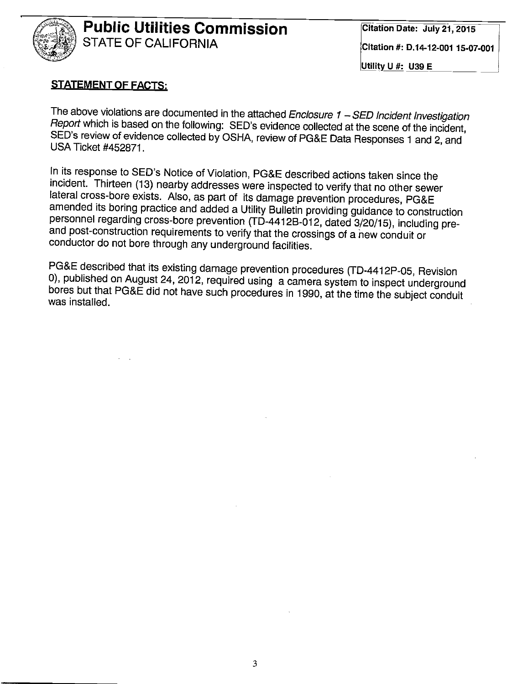

#### **STATEMENT OF FACTS:**

The above violations are documented in the attached Enclosure  $1 - SED$  Incident Investigation Report which is based on the following: SED's evidence collected at the scene of the incident, SED's review of evidence collected by OSHA, review of PG&E Data Responses 1 and 2, and **USA Ticket #452871.** 

In its response to SED's Notice of Violation, PG&E described actions taken since the incident. Thirteen (13) nearby addresses were inspected to verify that no other sewer lateral cross-bore exists. Also, as part of its damage prevention procedures, PG&E amended its boring practice and added a Utility Bulletin providing guidance to construction personnel regarding cross-bore prevention (TD-4412B-012, dated 3/20/15), including preand post-construction requirements to verify that the crossings of a new conduit or conductor do not bore through any underground facilities.

PG&E described that its existing damage prevention procedures (TD-4412P-05, Revision 0), published on August 24, 2012, required using a camera system to inspect underground bores but that PG&E did not have such procedures in 1990, at the time the subject conduit was installed.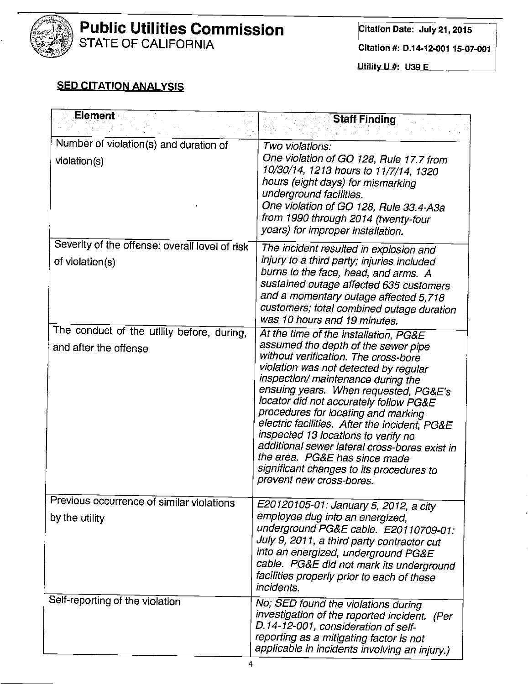

Citation #: D.14-12-001 15-07-001

Utility U #: U39 E \_\_\_\_\_\_

#### **SED CITATION ANALYSIS**

| Element                                                             | <b>Staff Finding</b>                                                                                                                                                                                                                                                                                                                                                                                                                                                                                                                                                            |
|---------------------------------------------------------------------|---------------------------------------------------------------------------------------------------------------------------------------------------------------------------------------------------------------------------------------------------------------------------------------------------------------------------------------------------------------------------------------------------------------------------------------------------------------------------------------------------------------------------------------------------------------------------------|
| Number of violation(s) and duration of<br>violation(s)              | Two violations:<br>One violation of GO 128, Rule 17.7 from<br>10/30/14, 1213 hours to 11/7/14, 1320<br>hours (eight days) for mismarking<br>underground facilities.<br>One violation of GO 128, Rule 33.4-A3a<br>from 1990 through 2014 (twenty-four<br>years) for improper installation.                                                                                                                                                                                                                                                                                       |
| Severity of the offense: overall level of risk<br>of violation(s)   | The incident resulted in explosion and<br>injury to a third party; injuries included<br>burns to the face, head, and arms. A<br>sustained outage affected 635 customers<br>and a momentary outage affected 5,718<br>customers; total combined outage duration<br>was 10 hours and 19 minutes.                                                                                                                                                                                                                                                                                   |
| The conduct of the utility before, during,<br>and after the offense | At the time of the installation, PG&E<br>assumed the depth of the sewer pipe<br>without verification. The cross-bore<br>violation was not detected by regular<br>inspection/ maintenance during the<br>ensuing years. When requested, PG&E's<br>locator did not accurately follow PG&E<br>procedures for locating and marking<br>electric facilities. After the incident, PG&E<br>inspected 13 locations to verify no<br>additional sewer lateral cross-bores exist in<br>the area. PG&E has since made<br>significant changes to its procedures to<br>prevent new cross-bores. |
| Previous occurrence of similar violations<br>by the utility         | E20120105-01: January 5, 2012, a city<br>employee dug into an energized,<br>underground PG&E cable. E20110709-01:<br>July 9, 2011, a third party contractor cut<br>into an energized, underground PG&E<br>cable. PG&E did not mark its underground<br>facilities properly prior to each of these<br>incidents.                                                                                                                                                                                                                                                                  |
| Self-reporting of the violation                                     | No; SED found the violations during<br>investigation of the reported incident. (Per<br>D.14-12-001, consideration of self-<br>reporting as a mitigating factor is not<br>applicable in incidents involving an injury.)                                                                                                                                                                                                                                                                                                                                                          |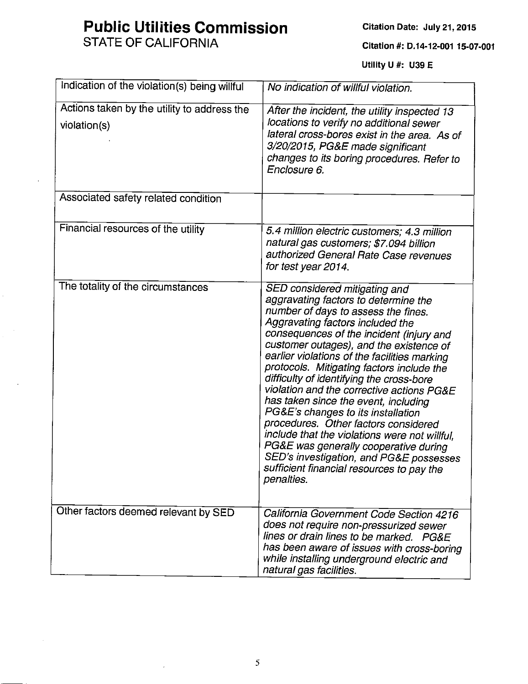# **Public Utilities Commission**

**STATE OF CALIFORNIA** 

Citation Date: July 21, 2015

Citation #: D.14-12-001 15-07-001

Utility U #: U39 E

| Indication of the violation(s) being willful                | No indication of willful violation.                                                                                                                                                                                                                                                                                                                                                                                                                                                                                                                                                                                                                                                                                                                 |
|-------------------------------------------------------------|-----------------------------------------------------------------------------------------------------------------------------------------------------------------------------------------------------------------------------------------------------------------------------------------------------------------------------------------------------------------------------------------------------------------------------------------------------------------------------------------------------------------------------------------------------------------------------------------------------------------------------------------------------------------------------------------------------------------------------------------------------|
| Actions taken by the utility to address the<br>violation(s) | After the incident, the utility inspected 13<br>locations to verify no additional sewer<br>lateral cross-bores exist in the area. As of<br>3/20/2015, PG&E made significant<br>changes to its boring procedures. Refer to<br>Enclosure 6.                                                                                                                                                                                                                                                                                                                                                                                                                                                                                                           |
| Associated safety related condition                         |                                                                                                                                                                                                                                                                                                                                                                                                                                                                                                                                                                                                                                                                                                                                                     |
| Financial resources of the utility                          | 5.4 million electric customers; 4.3 million<br>natural gas customers; \$7.094 billion<br>authorized General Rate Case revenues<br>for test year 2014.                                                                                                                                                                                                                                                                                                                                                                                                                                                                                                                                                                                               |
| The totality of the circumstances                           | SED considered mitigating and<br>aggravating factors to determine the<br>number of days to assess the fines.<br>Aggravating factors included the<br>consequences of the incident (injury and<br>customer outages), and the existence of<br>earlier violations of the facilities marking<br>protocols. Mitigating factors include the<br>difficulty of identifying the cross-bore<br>violation and the corrective actions PG&E<br>has taken since the event, including<br>PG&E's changes to its installation<br>procedures. Other factors considered<br>include that the violations were not willful,<br>PG&E was generally cooperative during<br>SED's investigation, and PG&E possesses<br>sufficient financial resources to pay the<br>penalties. |
| Other factors deemed relevant by SED                        | California Government Code Section 4216<br>does not require non-pressurized sewer<br>lines or drain lines to be marked. PG&E<br>has been aware of issues with cross-boring<br>while installing underground electric and<br>natural gas facilities.                                                                                                                                                                                                                                                                                                                                                                                                                                                                                                  |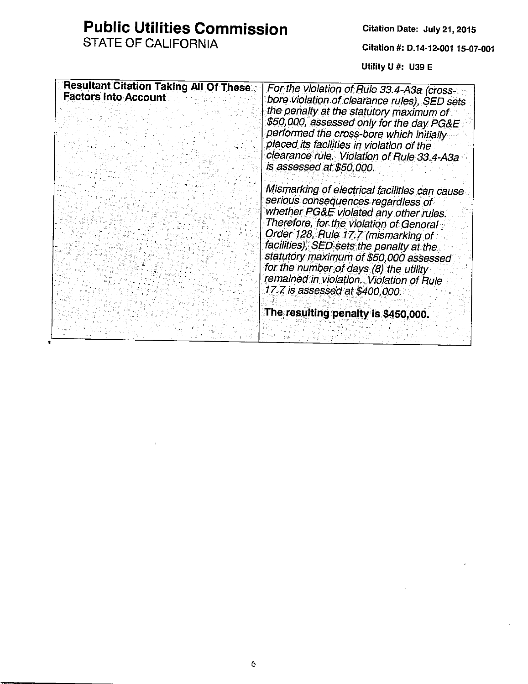# **Public Utilities Commission**

STATE OF CALIFORNIA

Citation #: D.14-12-001 15-07-001

Utility U #: U39 E

| <b>Resultant Citation Taking All Of These</b><br><b>Factors Into Account</b> | For the violation of Rule 33.4-A3a (cross-<br>bore violation of clearance rules), SED sets<br>the penalty at the statutory maximum of<br>\$50,000, assessed only for the day PG&E<br>performed the cross-bore which initially<br>placed its facilities in violation of the<br>clearance rule. Violation of Rule 33.4-A3a<br>is assessed at \$50,000.                                                                          |
|------------------------------------------------------------------------------|-------------------------------------------------------------------------------------------------------------------------------------------------------------------------------------------------------------------------------------------------------------------------------------------------------------------------------------------------------------------------------------------------------------------------------|
|                                                                              | Mismarking of electrical facilities can cause<br>serious consequences regardless of<br>whether PG&E violated any other rules.<br>Therefore, for the violation of General<br>Order 128, Rule 17.7 (mismarking of<br>facilities), SED sets the penalty at the<br>statutory maximum of \$50,000 assessed<br>for the number of days (8) the utility<br>remained in violation. Violation of Rule<br>17.7 is assessed at \$400,000. |
|                                                                              | The resulting penalty is \$450,000.                                                                                                                                                                                                                                                                                                                                                                                           |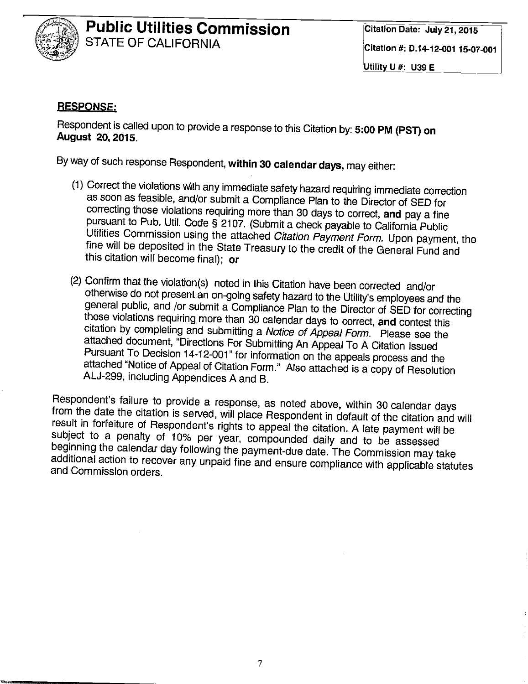

#### **RESPONSE:**

Respondent is called upon to provide a response to this Citation by: 5:00 PM (PST) on August 20, 2015.

By way of such response Respondent, within 30 calendar days, may either:

- (1) Correct the violations with any immediate safety hazard requiring immediate correction as soon as feasible, and/or submit a Compliance Plan to the Director of SED for correcting those violations requiring more than 30 days to correct, and pay a fine pursuant to Pub. Util. Code § 2107. (Submit a check payable to California Public Utilities Commission using the attached Citation Payment Form. Upon payment, the fine will be deposited in the State Treasury to the credit of the General Fund and this citation will become final); or
- (2) Confirm that the violation(s) noted in this Citation have been corrected and/or otherwise do not present an on-going safety hazard to the Utility's employees and the general public, and /or submit a Compliance Plan to the Director of SED for correcting those violations requiring more than 30 calendar days to correct, and contest this citation by completing and submitting a Notice of Appeal Form. Please see the attached document, "Directions For Submitting An Appeal To A Citation Issued Pursuant To Decision 14-12-001" for information on the appeals process and the attached "Notice of Appeal of Citation Form." Also attached is a copy of Resolution ALJ-299, including Appendices A and B.

Respondent's failure to provide a response, as noted above, within 30 calendar days from the date the citation is served, will place Respondent in default of the citation and will result in forfeiture of Respondent's rights to appeal the citation. A late payment will be subject to a penalty of 10% per year, compounded daily and to be assessed beginning the calendar day following the payment-due date. The Commission may take additional action to recover any unpaid fine and ensure compliance with applicable statutes and Commission orders.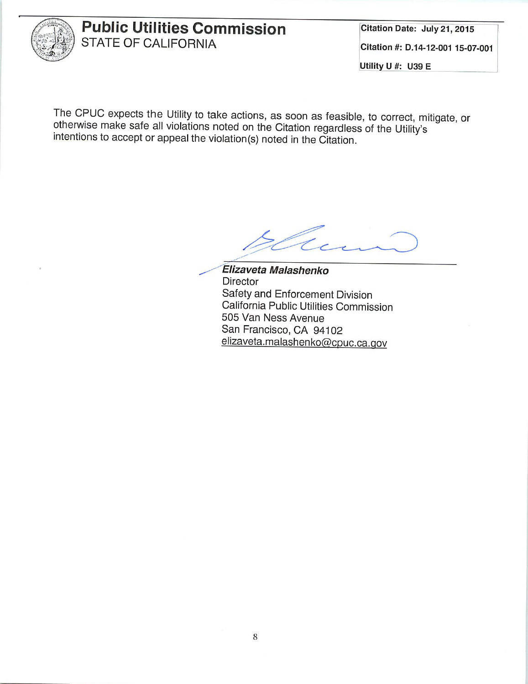

Citation Date: July 21, 2015 Citation #: D.14-12-001 15-07-001 Utility U #: U39 E

The CPUC expects the Utility to take actions, as soon as feasible, to correct, mitigate, or otherwise make safe all violations noted on the Citation regardless of the Utility's intentions to accept or appeal the violation(s) noted in the Citation.

Elizaveta Malashenko Director Safety and Enforcement Division California Public Utilities Commission 505 Van Ness Avenue San Francisco, CA 94102 elizaveta.malashenko@cpuc.ca.gov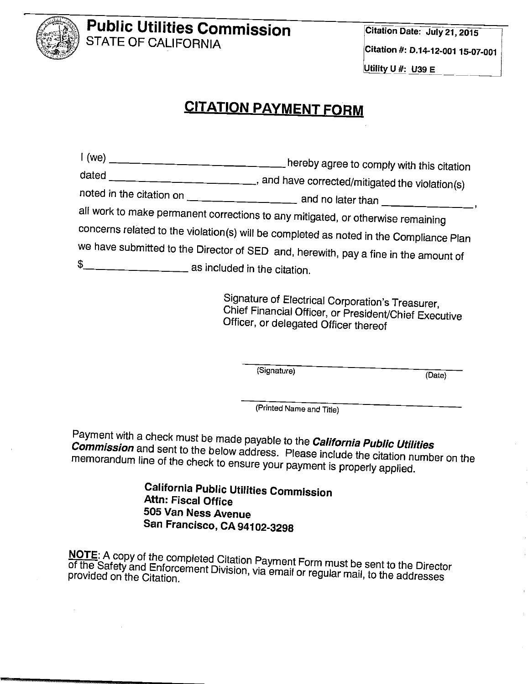

# **CITATION PAYMENT FORM**

| I (we) |                                                                                        |
|--------|----------------------------------------------------------------------------------------|
|        | dated _______________________, and have corrected/mitigated the violation(s)           |
|        |                                                                                        |
|        | all work to make permanent corrections to any mitigated, or otherwise remaining        |
|        | concerns related to the violation(s) will be completed as noted in the Compliance Plan |
|        | we have submitted to the Director of SED and, herewith, pay a fine in the amount of    |
|        |                                                                                        |

Signature of Electrical Corporation's Treasurer, Chief Financial Officer, or President/Chief Executive Officer, or delegated Officer thereof

(Signature)

(Date)

(Printed Name and Title)

Payment with a check must be made payable to the **California Public Utilities Commission** and sent to the below address. Please include the citation number on the memorandum line of the check to ensure your payment is properly applied.

> **California Public Utilities Commission** Attn: Fiscal Office 505 Van Ness Avenue San Francisco, CA 94102-3298

NOTE: A copy of the completed Citation Payment Form must be sent to the Director of the Safety and Enforcement Division, via email or regular mail, to the addresses provided on the Citation.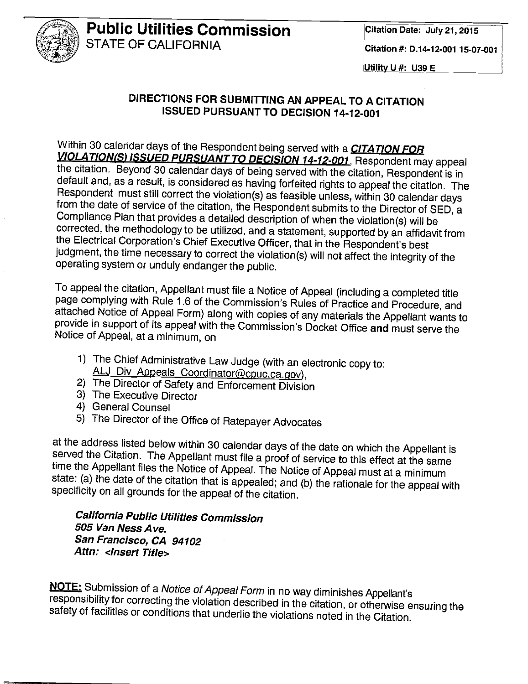

#### Utility U #: U39 E

#### DIRECTIONS FOR SUBMITTING AN APPEAL TO A CITATION ISSUED PURSUANT TO DECISION 14-12-001

Within 30 calendar days of the Respondent being served with a **CITATION FOR VIOLATION(S) ISSUED PURSUANT TO DECISION 14-12-001.** Respondent may appeal the citation. Beyond 30 calendar days of being served with the citation, Respondent is in default and, as a result, is considered as having forfeited rights to appeal the citation. The Respondent must still correct the violation(s) as feasible unless, within 30 calendar days from the date of service of the citation, the Respondent submits to the Director of SED, a Compliance Plan that provides a detailed description of when the violation(s) will be corrected, the methodology to be utilized, and a statement, supported by an affidavit from the Electrical Corporation's Chief Executive Officer, that in the Respondent's best judgment, the time necessary to correct the violation(s) will not affect the integrity of the operating system or unduly endanger the public.

To appeal the citation, Appellant must file a Notice of Appeal (including a completed title page complying with Rule 1.6 of the Commission's Rules of Practice and Procedure, and attached Notice of Appeal Form) along with copies of any materials the Appellant wants to provide in support of its appeal with the Commission's Docket Office and must serve the Notice of Appeal, at a minimum, on

- 1) The Chief Administrative Law Judge (with an electronic copy to: ALJ Div Appeals Coordinator@cpuc.ca.gov),
- 2) The Director of Safety and Enforcement Division
- 3) The Executive Director
- 4) General Counsel
- 5) The Director of the Office of Ratepayer Advocates

at the address listed below within 30 calendar days of the date on which the Appellant is served the Citation. The Appellant must file a proof of service to this effect at the same time the Appellant files the Notice of Appeal. The Notice of Appeal must at a minimum state: (a) the date of the citation that is appealed; and (b) the rationale for the appeal with specificity on all grounds for the appeal of the citation.

**California Public Utilities Commission** 505 Van Ness Ave. San Francisco, CA 94102 Attn: <lnsert Title>

NOTE: Submission of a Notice of Appeal Form in no way diminishes Appellant's responsibility for correcting the violation described in the citation, or otherwise ensuring the safety of facilities or conditions that underlie the violations noted in the Citation.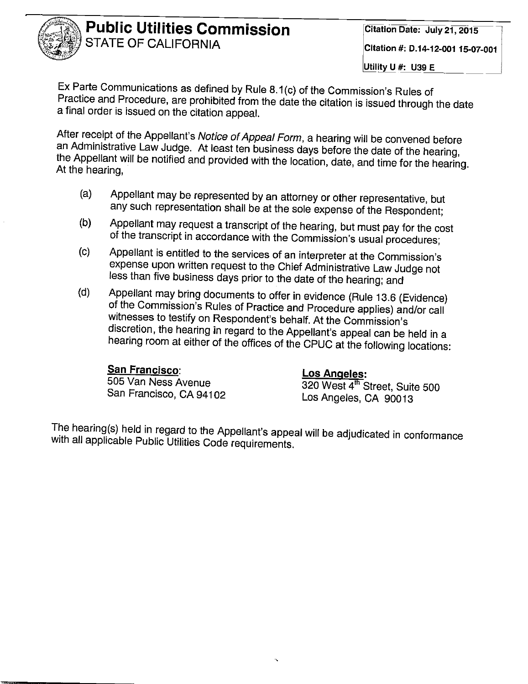

Ex Parte Communications as defined by Rule 8.1(c) of the Commission's Rules of Practice and Procedure, are prohibited from the date the citation is issued through the date a final order is issued on the citation appeal.

After receipt of the Appellant's Notice of Appeal Form, a hearing will be convened before an Administrative Law Judge. At least ten business days before the date of the hearing, the Appellant will be notified and provided with the location, date, and time for the hearing. At the hearing,

- Appellant may be represented by an attorney or other representative, but  $(a)$ any such representation shall be at the sole expense of the Respondent;
- Appellant may request a transcript of the hearing, but must pay for the cost  $(b)$ of the transcript in accordance with the Commission's usual procedures;
- Appellant is entitled to the services of an interpreter at the Commission's  $\left( c\right)$ expense upon written request to the Chief Administrative Law Judge not less than five business days prior to the date of the hearing; and
- Appellant may bring documents to offer in evidence (Rule 13.6 (Evidence)  $(d)$ of the Commission's Rules of Practice and Procedure applies) and/or call witnesses to testify on Respondent's behalf. At the Commission's discretion, the hearing in regard to the Appellant's appeal can be held in a hearing room at either of the offices of the CPUC at the following locations:

#### San Francisco:

505 Van Ness Avenue San Francisco, CA 94102

#### **Los Angeles:**

320 West 4<sup>th</sup> Street, Suite 500 Los Angeles, CA 90013

The hearing(s) held in regard to the Appellant's appeal will be adjudicated in conformance with all applicable Public Utilities Code requirements.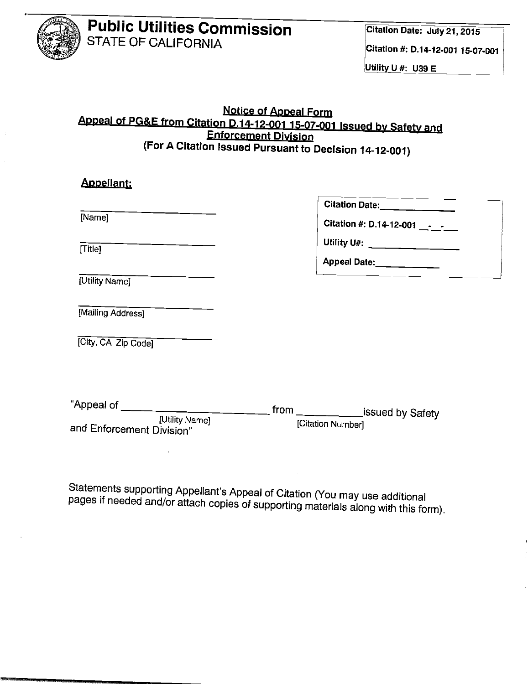

#### Utility U #: U39 E

#### **Notice of Appeal Form** Appeal of PG&E from Citation D.14-12-001 15-07-001 Issued by Safety and Enforcement Division (For A Citation Issued Pursuant to Decision 14-12-001)

| [Name]                                      | Citation Date:______________<br>Citation #: D.14-12-001 _______ |
|---------------------------------------------|-----------------------------------------------------------------|
| [Title]                                     | Appeal Date:<br><u> </u>                                        |
| [Utility Name]                              |                                                                 |
| [Mailing Address]                           |                                                                 |
| [City, CA Zip Code]                         |                                                                 |
|                                             |                                                                 |
| "Appeal of ___________                      | _ from ___________issued by Safety                              |
| [Utility Name]<br>and Enforcement Division" | [Citation Number]                                               |

Statements supporting Appellant's Appeal of Citation (You may use additional pages if needed and/or attach copies of supporting materials along with this form).